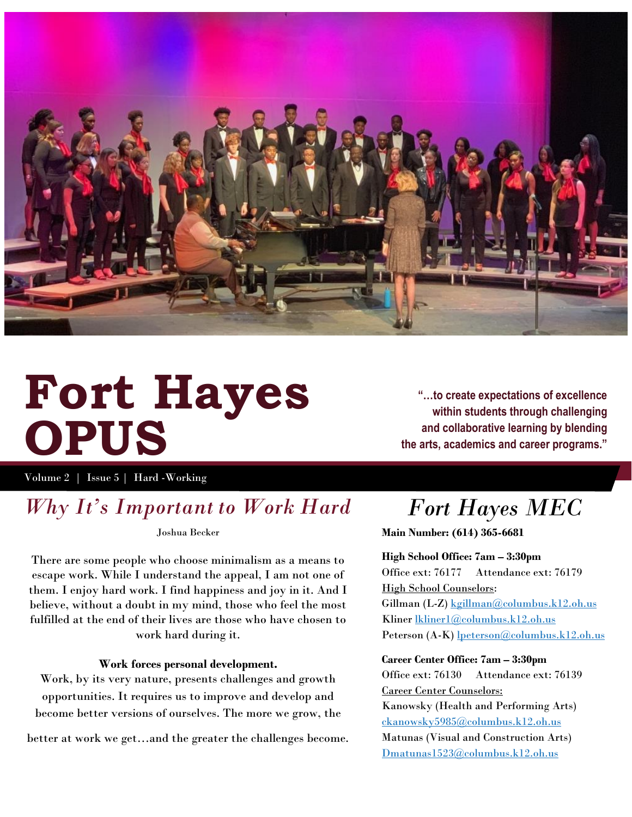

# **Fort Hayes OPUS**

**"…to create expectations of excellence within students through challenging and collaborative learning by blending the arts, academics and career programs."**

Volume 2 | Issue 5 | Hard -Working

### *Why It's Important to Work Hard*

Joshua Becker

There are some people who choose minimalism as a means to escape work. While I understand the appeal, I am not one of them. I enjoy hard work. I find happiness and joy in it. And I believe, without a doubt in my mind, those who feel the most fulfilled at the end of their lives are those who have chosen to work hard during it.

#### **Work forces personal development.**

Work, by its very nature, presents challenges and growth opportunities. It requires us to improve and develop and become better versions of ourselves. The more we grow, the

better at work we get…and the greater the challenges become. Matunas (Visual and Construction Arts)

# *Fort Hayes MEC*

**Main Number: (614) 365-6681**

**High School Office: 7am – 3:30pm** Office ext: 76177 Attendance ext: 76179 High School Counselors: Gillman (L-Z[\) kgillman@columbus.k12.oh.us](mailto:kgillman@columbus.k12.oh.us) Kliner [lkliner1@columbus.k12.oh.us](mailto:lkliner1@columbus.k12.oh.us)

Peterson (A-K) [lpeterson@columbus.k12.oh.us](mailto:lpeterson@columbus.k12.oh.us)

#### **Career Center Office: 7am – 3:30pm**

Office ext: 76130 Attendance ext: 76139 Career Center Counselors:

Kanowsky (Health and Performing Arts) [ckanowsky5985@columbus.k12.oh.us](mailto:ckanowsky5985@columbus.k12.oh.us) [Dmatunas1523@columbus.k12.oh.us](mailto:Dmatunas1523@columbus.k12.oh.us)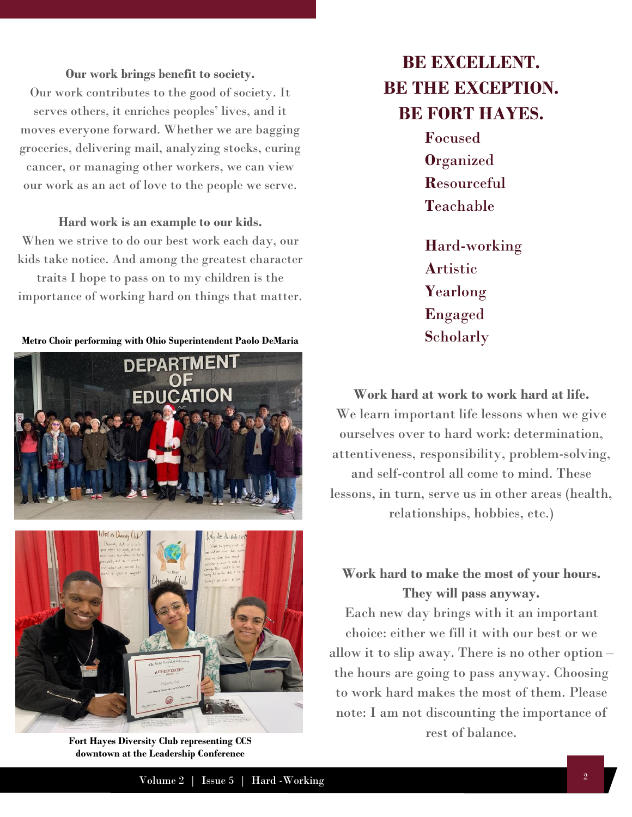**Our work brings benefit to society.** Our work contributes to the good of society. It serves others, it enriches peoples' lives, and it moves everyone forward. Whether we are bagging groceries, delivering mail, analyzing stocks, curing cancer, or managing other workers, we can view our work as an act of love to the people we serve.

#### **Hard work is an example to our kids.**

When we strive to do our best work each day, our kids take notice. And among the greatest character traits I hope to pass on to my children is the

importance of working hard on things that matter.

**Metro Choir performing with Ohio Superintendent Paolo DeMaria**





**Fort Hayes Diversity Club representing CCS downtown at the Leadership Conference**

# **BE EXCELLENT. BE THE EXCEPTION. BE FORT HAYES.**

**F**ocused **O**rganized **R**esourceful **T**eachable

**H**ard-working **A**rtistic **Y**earlong **E**ngaged **S**cholarly

**Work hard at work to work hard at life.** We learn important life lessons when we give ourselves over to hard work: determination, attentiveness, responsibility, problem-solving, and self-control all come to mind. These lessons, in turn, serve us in other areas (health, relationships, hobbies, etc.)

**Work hard to make the most of your hours. They will pass anyway.** 

Each new day brings with it an important choice: either we fill it with our best or we allow it to slip away. There is no other option – the hours are going to pass anyway. Choosing to work hard makes the most of them. Please note: I am not discounting the importance of rest of balance.